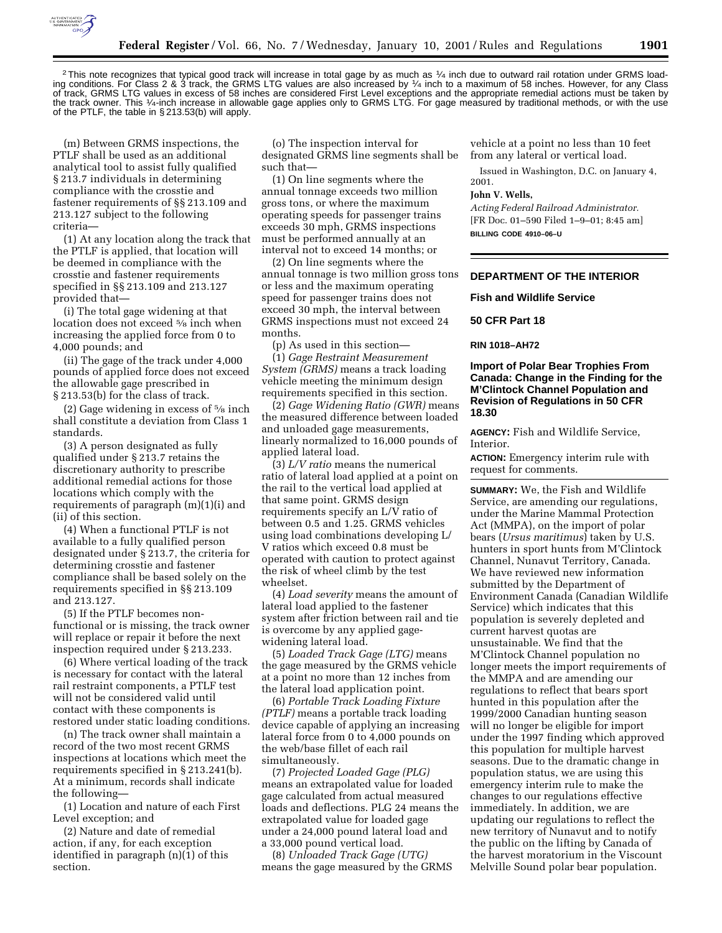

<sup>2</sup>This note recognizes that typical good track will increase in total gage by as much as 1/4 inch due to outward rail rotation under GRMS loading conditions. For Class 2 & 3 track, the GRMS LTG values are also increased by 1⁄4 inch to a maximum of 58 inches. However, for any Class of track, GRMS LTG values in excess of 58 inches are considered First Level exceptions and the appropriate remedial actions must be taken by the track owner. This 1/4-inch increase in allowable gage applies only to GRMS LTG. For gage measured by traditional methods, or with the use of the PTLF, the table in § 213.53(b) will apply.

(m) Between GRMS inspections, the PTLF shall be used as an additional analytical tool to assist fully qualified § 213.7 individuals in determining compliance with the crosstie and fastener requirements of §§ 213.109 and 213.127 subject to the following criteria—

(1) At any location along the track that the PTLF is applied, that location will be deemed in compliance with the crosstie and fastener requirements specified in §§ 213.109 and 213.127 provided that—

(i) The total gage widening at that location does not exceed 5⁄8 inch when increasing the applied force from 0 to 4,000 pounds; and

(ii) The gage of the track under 4,000 pounds of applied force does not exceed the allowable gage prescribed in § 213.53(b) for the class of track.

(2) Gage widening in excess of 5⁄8 inch shall constitute a deviation from Class 1 standards.

(3) A person designated as fully qualified under § 213.7 retains the discretionary authority to prescribe additional remedial actions for those locations which comply with the requirements of paragraph (m)(1)(i) and (ii) of this section.

(4) When a functional PTLF is not available to a fully qualified person designated under § 213.7, the criteria for determining crosstie and fastener compliance shall be based solely on the requirements specified in §§ 213.109 and 213.127.

(5) If the PTLF becomes nonfunctional or is missing, the track owner will replace or repair it before the next inspection required under § 213.233.

(6) Where vertical loading of the track is necessary for contact with the lateral rail restraint components, a PTLF test will not be considered valid until contact with these components is restored under static loading conditions.

(n) The track owner shall maintain a record of the two most recent GRMS inspections at locations which meet the requirements specified in § 213.241(b). At a minimum, records shall indicate the following—

(1) Location and nature of each First Level exception; and

(2) Nature and date of remedial action, if any, for each exception identified in paragraph (n)(1) of this section.

(o) The inspection interval for designated GRMS line segments shall be such that—

(1) On line segments where the annual tonnage exceeds two million gross tons, or where the maximum operating speeds for passenger trains exceeds 30 mph, GRMS inspections must be performed annually at an interval not to exceed 14 months; or

(2) On line segments where the annual tonnage is two million gross tons or less and the maximum operating speed for passenger trains does not exceed 30 mph, the interval between GRMS inspections must not exceed 24 months.

(p) As used in this section—

(1) *Gage Restraint Measurement System (GRMS)* means a track loading vehicle meeting the minimum design requirements specified in this section.

(2) *Gage Widening Ratio (GWR)* means the measured difference between loaded and unloaded gage measurements, linearly normalized to 16,000 pounds of applied lateral load.

(3) *L/V ratio* means the numerical ratio of lateral load applied at a point on the rail to the vertical load applied at that same point. GRMS design requirements specify an L/V ratio of between 0.5 and 1.25. GRMS vehicles using load combinations developing L/ V ratios which exceed 0.8 must be operated with caution to protect against the risk of wheel climb by the test wheelset.

(4) *Load severity* means the amount of lateral load applied to the fastener system after friction between rail and tie is overcome by any applied gagewidening lateral load.

(5) *Loaded Track Gage (LTG)* means the gage measured by the GRMS vehicle at a point no more than 12 inches from the lateral load application point.

(6) *Portable Track Loading Fixture (PTLF)* means a portable track loading device capable of applying an increasing lateral force from 0 to 4,000 pounds on the web/base fillet of each rail simultaneously.

(7) *Projected Loaded Gage (PLG)* means an extrapolated value for loaded gage calculated from actual measured loads and deflections. PLG 24 means the extrapolated value for loaded gage under a 24,000 pound lateral load and a 33,000 pound vertical load.

(8) *Unloaded Track Gage (UTG)* means the gage measured by the GRMS

vehicle at a point no less than 10 feet from any lateral or vertical load.

Issued in Washington, D.C. on January 4, 2001.

#### **John V. Wells,**

*Acting Federal Railroad Administrator.* [FR Doc. 01–590 Filed 1–9–01; 8:45 am] **BILLING CODE 4910–06–U**

# **DEPARTMENT OF THE INTERIOR**

**Fish and Wildlife Service**

# **50 CFR Part 18**

#### **RIN 1018–AH72**

# **Import of Polar Bear Trophies From Canada: Change in the Finding for the M'Clintock Channel Population and Revision of Regulations in 50 CFR 18.30**

**AGENCY:** Fish and Wildlife Service, Interior.

**ACTION:** Emergency interim rule with request for comments.

**SUMMARY:** We, the Fish and Wildlife Service, are amending our regulations, under the Marine Mammal Protection Act (MMPA), on the import of polar bears (*Ursus maritimus*) taken by U.S. hunters in sport hunts from M'Clintock Channel, Nunavut Territory, Canada. We have reviewed new information submitted by the Department of Environment Canada (Canadian Wildlife Service) which indicates that this population is severely depleted and current harvest quotas are unsustainable. We find that the M'Clintock Channel population no longer meets the import requirements of the MMPA and are amending our regulations to reflect that bears sport hunted in this population after the 1999/2000 Canadian hunting season will no longer be eligible for import under the 1997 finding which approved this population for multiple harvest seasons. Due to the dramatic change in population status, we are using this emergency interim rule to make the changes to our regulations effective immediately. In addition, we are updating our regulations to reflect the new territory of Nunavut and to notify the public on the lifting by Canada of the harvest moratorium in the Viscount Melville Sound polar bear population.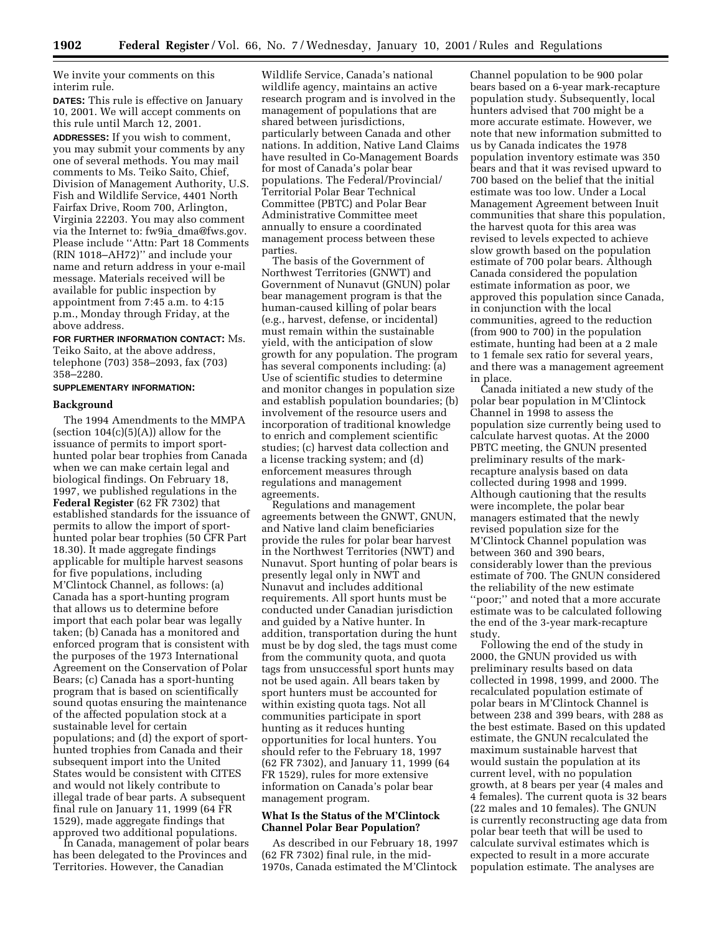We invite your comments on this interim rule.

**DATES:** This rule is effective on January 10, 2001. We will accept comments on this rule until March 12, 2001.

**ADDRESSES:** If you wish to comment, you may submit your comments by any one of several methods. You may mail comments to Ms. Teiko Saito, Chief, Division of Management Authority, U.S. Fish and Wildlife Service, 4401 North Fairfax Drive, Room 700, Arlington, Virginia 22203. You may also comment via the Internet to: fw9ia\_dma@fws.gov. Please include ''Attn: Part 18 Comments (RIN 1018–AH72)'' and include your name and return address in your e-mail message. Materials received will be available for public inspection by appointment from 7:45 a.m. to 4:15 p.m., Monday through Friday, at the above address.

#### **FOR FURTHER INFORMATION CONTACT:** Ms.

Teiko Saito, at the above address, telephone (703) 358–2093, fax (703) 358–2280.

# **SUPPLEMENTARY INFORMATION:**

### **Background**

The 1994 Amendments to the MMPA (section  $104(c)(5)(A)$ ) allow for the issuance of permits to import sporthunted polar bear trophies from Canada when we can make certain legal and biological findings. On February 18, 1997, we published regulations in the **Federal Register** (62 FR 7302) that established standards for the issuance of permits to allow the import of sporthunted polar bear trophies (50 CFR Part 18.30). It made aggregate findings applicable for multiple harvest seasons for five populations, including M'Clintock Channel, as follows: (a) Canada has a sport-hunting program that allows us to determine before import that each polar bear was legally taken; (b) Canada has a monitored and enforced program that is consistent with the purposes of the 1973 International Agreement on the Conservation of Polar Bears; (c) Canada has a sport-hunting program that is based on scientifically sound quotas ensuring the maintenance of the affected population stock at a sustainable level for certain populations; and (d) the export of sporthunted trophies from Canada and their subsequent import into the United States would be consistent with CITES and would not likely contribute to illegal trade of bear parts. A subsequent final rule on January 11, 1999 (64 FR 1529), made aggregate findings that approved two additional populations.

In Canada, management of polar bears has been delegated to the Provinces and Territories. However, the Canadian

Wildlife Service, Canada's national wildlife agency, maintains an active research program and is involved in the management of populations that are shared between jurisdictions, particularly between Canada and other nations. In addition, Native Land Claims have resulted in Co-Management Boards for most of Canada's polar bear populations. The Federal/Provincial/ Territorial Polar Bear Technical Committee (PBTC) and Polar Bear Administrative Committee meet annually to ensure a coordinated management process between these parties.

The basis of the Government of Northwest Territories (GNWT) and Government of Nunavut (GNUN) polar bear management program is that the human-caused killing of polar bears (e.g., harvest, defense, or incidental) must remain within the sustainable yield, with the anticipation of slow growth for any population. The program has several components including: (a) Use of scientific studies to determine and monitor changes in population size and establish population boundaries; (b) involvement of the resource users and incorporation of traditional knowledge to enrich and complement scientific studies; (c) harvest data collection and a license tracking system; and (d) enforcement measures through regulations and management agreements.

Regulations and management agreements between the GNWT, GNUN, and Native land claim beneficiaries provide the rules for polar bear harvest in the Northwest Territories (NWT) and Nunavut. Sport hunting of polar bears is presently legal only in NWT and Nunavut and includes additional requirements. All sport hunts must be conducted under Canadian jurisdiction and guided by a Native hunter. In addition, transportation during the hunt must be by dog sled, the tags must come from the community quota, and quota tags from unsuccessful sport hunts may not be used again. All bears taken by sport hunters must be accounted for within existing quota tags. Not all communities participate in sport hunting as it reduces hunting opportunities for local hunters. You should refer to the February 18, 1997 (62 FR 7302), and January 11, 1999 (64 FR 1529), rules for more extensive information on Canada's polar bear management program.

# **What Is the Status of the M'Clintock Channel Polar Bear Population?**

As described in our February 18, 1997 (62 FR 7302) final rule, in the mid-1970s, Canada estimated the M'Clintock Channel population to be 900 polar bears based on a 6-year mark-recapture population study. Subsequently, local hunters advised that 700 might be a more accurate estimate. However, we note that new information submitted to us by Canada indicates the 1978 population inventory estimate was 350 bears and that it was revised upward to 700 based on the belief that the initial estimate was too low. Under a Local Management Agreement between Inuit communities that share this population, the harvest quota for this area was revised to levels expected to achieve slow growth based on the population estimate of 700 polar bears. Although Canada considered the population estimate information as poor, we approved this population since Canada, in conjunction with the local communities, agreed to the reduction (from 900 to 700) in the population estimate, hunting had been at a 2 male to 1 female sex ratio for several years, and there was a management agreement in place.

Canada initiated a new study of the polar bear population in M'Clintock Channel in 1998 to assess the population size currently being used to calculate harvest quotas. At the 2000 PBTC meeting, the GNUN presented preliminary results of the markrecapture analysis based on data collected during 1998 and 1999. Although cautioning that the results were incomplete, the polar bear managers estimated that the newly revised population size for the M'Clintock Channel population was between 360 and 390 bears, considerably lower than the previous estimate of 700. The GNUN considered the reliability of the new estimate ''poor;'' and noted that a more accurate estimate was to be calculated following the end of the 3-year mark-recapture study.

Following the end of the study in 2000, the GNUN provided us with preliminary results based on data collected in 1998, 1999, and 2000. The recalculated population estimate of polar bears in M'Clintock Channel is between 238 and 399 bears, with 288 as the best estimate. Based on this updated estimate, the GNUN recalculated the maximum sustainable harvest that would sustain the population at its current level, with no population growth, at 8 bears per year (4 males and 4 females). The current quota is 32 bears (22 males and 10 females). The GNUN is currently reconstructing age data from polar bear teeth that will be used to calculate survival estimates which is expected to result in a more accurate population estimate. The analyses are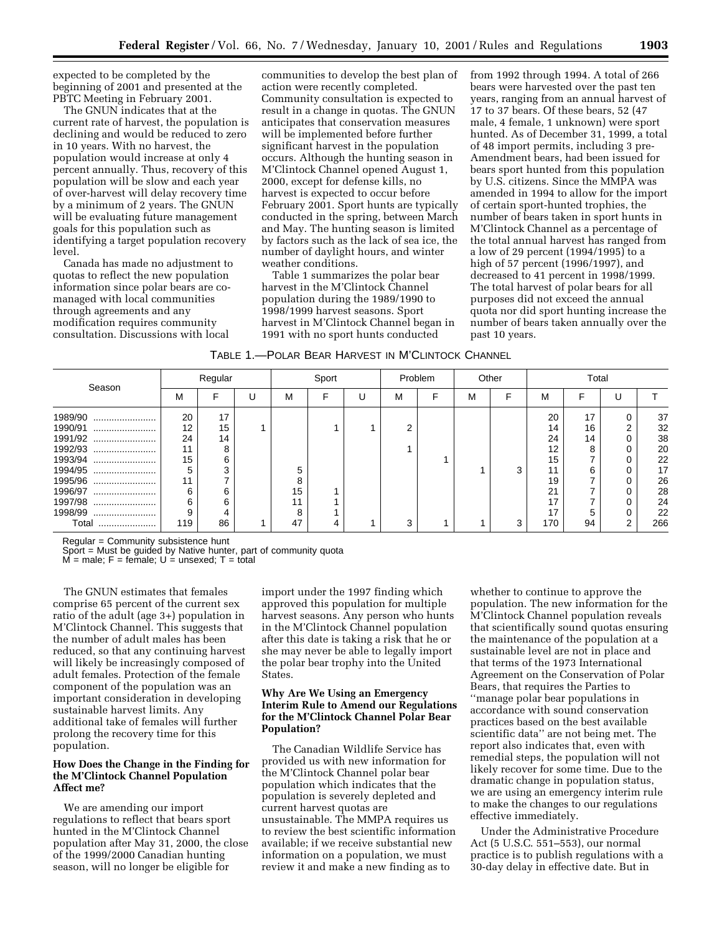expected to be completed by the beginning of 2001 and presented at the PBTC Meeting in February 2001.

The GNUN indicates that at the current rate of harvest, the population is declining and would be reduced to zero in 10 years. With no harvest, the population would increase at only 4 percent annually. Thus, recovery of this population will be slow and each year of over-harvest will delay recovery time by a minimum of 2 years. The GNUN will be evaluating future management goals for this population such as identifying a target population recovery level.

Canada has made no adjustment to quotas to reflect the new population information since polar bears are comanaged with local communities through agreements and any modification requires community consultation. Discussions with local

communities to develop the best plan of action were recently completed. Community consultation is expected to result in a change in quotas. The GNUN anticipates that conservation measures will be implemented before further significant harvest in the population occurs. Although the hunting season in M'Clintock Channel opened August 1, 2000, except for defense kills, no harvest is expected to occur before February 2001. Sport hunts are typically conducted in the spring, between March and May. The hunting season is limited by factors such as the lack of sea ice, the number of daylight hours, and winter weather conditions.

Table 1 summarizes the polar bear harvest in the M'Clintock Channel population during the 1989/1990 to 1998/1999 harvest seasons. Sport harvest in M'Clintock Channel began in 1991 with no sport hunts conducted

from 1992 through 1994. A total of 266 bears were harvested over the past ten years, ranging from an annual harvest of 17 to 37 bears. Of these bears, 52 (47 male, 4 female, 1 unknown) were sport hunted. As of December 31, 1999, a total of 48 import permits, including 3 pre-Amendment bears, had been issued for bears sport hunted from this population by U.S. citizens. Since the MMPA was amended in 1994 to allow for the import of certain sport-hunted trophies, the number of bears taken in sport hunts in M'Clintock Channel as a percentage of the total annual harvest has ranged from a low of 29 percent (1994/1995) to a high of 57 percent (1996/1997), and decreased to 41 percent in 1998/1999. The total harvest of polar bears for all purposes did not exceed the annual quota nor did sport hunting increase the number of bears taken annually over the past 10 years.

| Table 1.—Polar Bear Harvest in M'Clintock Channel |
|---------------------------------------------------|
|---------------------------------------------------|

| Regular |    |   | Sport |  |   | Problem |   | Other |   | Total |    |   |     |
|---------|----|---|-------|--|---|---------|---|-------|---|-------|----|---|-----|
| M       | Е  | U | М     |  | U | М       | F | M     | F | M     | F  |   |     |
| 20      | 17 |   |       |  |   |         |   |       |   | 20    | 17 | U | 37  |
| 12      | 15 |   |       |  |   |         |   |       |   | 14    | 16 | C | 32  |
| 24      | 14 |   |       |  |   |         |   |       |   | 24    | 14 | 0 | 38  |
| 11      | 8  |   |       |  |   |         |   |       |   | 12    |    |   | 20  |
| 15      | ิค |   |       |  |   |         |   |       |   | 15    |    |   | 22  |
|         | ົ  |   | 5     |  |   |         |   |       | 3 | 11    |    |   | 17  |
| 11      |    |   | 8     |  |   |         |   |       |   | 19    |    |   | 26  |
| 6       | ิค |   | 15    |  |   |         |   |       |   | 21    |    |   | 28  |
| 6       | 6  |   |       |  |   |         |   |       |   | 17    |    |   | 24  |
| 9       |    |   | 8     |  |   |         |   |       |   | 17    |    |   | 22  |
| 119     | 86 |   | 47    |  |   |         |   |       | 3 | 170   | 94 | 2 | 266 |
|         |    |   |       |  |   |         |   |       |   |       |    |   |     |

Regular = Community subsistence hunt

Sport = Must be guided by Native hunter, part of community quota

 $M =$  male;  $F =$  female;  $U =$  unsexed;  $T =$  total

The GNUN estimates that females comprise 65 percent of the current sex ratio of the adult (age 3+) population in M'Clintock Channel. This suggests that the number of adult males has been reduced, so that any continuing harvest will likely be increasingly composed of adult females. Protection of the female component of the population was an important consideration in developing sustainable harvest limits. Any additional take of females will further prolong the recovery time for this population.

# **How Does the Change in the Finding for the M'Clintock Channel Population Affect me?**

We are amending our import regulations to reflect that bears sport hunted in the M'Clintock Channel population after May 31, 2000, the close of the 1999/2000 Canadian hunting season, will no longer be eligible for

import under the 1997 finding which approved this population for multiple harvest seasons. Any person who hunts in the M'Clintock Channel population after this date is taking a risk that he or she may never be able to legally import the polar bear trophy into the United States.

# **Why Are We Using an Emergency Interim Rule to Amend our Regulations for the M'Clintock Channel Polar Bear Population?**

The Canadian Wildlife Service has provided us with new information for the M'Clintock Channel polar bear population which indicates that the population is severely depleted and current harvest quotas are unsustainable. The MMPA requires us to review the best scientific information available; if we receive substantial new information on a population, we must review it and make a new finding as to

whether to continue to approve the population. The new information for the M'Clintock Channel population reveals that scientifically sound quotas ensuring the maintenance of the population at a sustainable level are not in place and that terms of the 1973 International Agreement on the Conservation of Polar Bears, that requires the Parties to ''manage polar bear populations in accordance with sound conservation practices based on the best available scientific data'' are not being met. The report also indicates that, even with remedial steps, the population will not likely recover for some time. Due to the dramatic change in population status, we are using an emergency interim rule to make the changes to our regulations effective immediately.

Under the Administrative Procedure Act (5 U.S.C. 551–553), our normal practice is to publish regulations with a 30-day delay in effective date. But in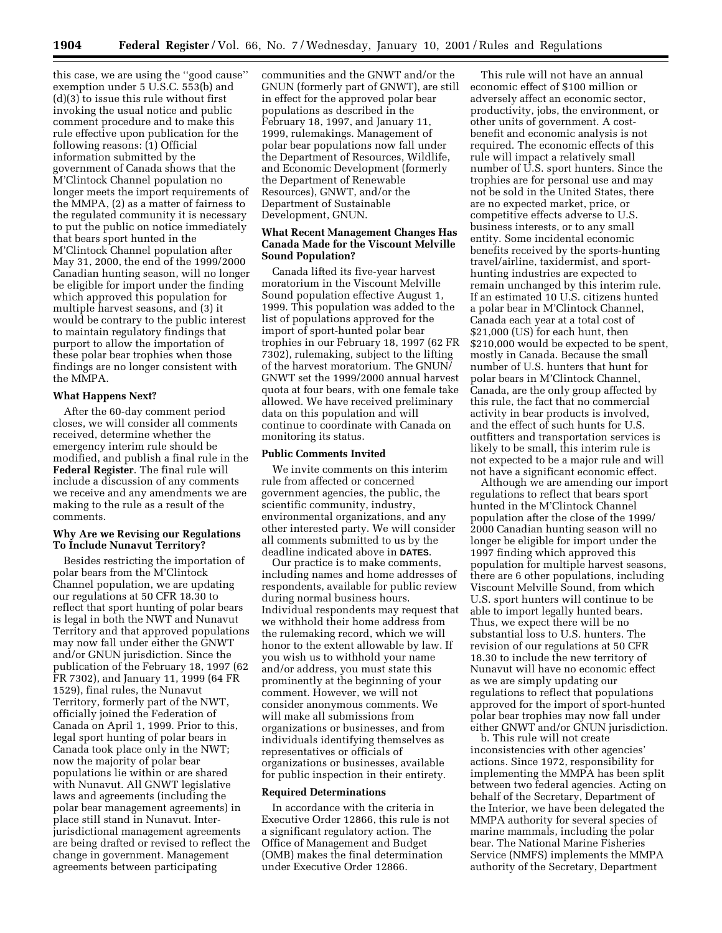this case, we are using the ''good cause'' exemption under 5 U.S.C. 553(b) and (d)(3) to issue this rule without first invoking the usual notice and public comment procedure and to make this rule effective upon publication for the following reasons: (1) Official information submitted by the government of Canada shows that the M'Clintock Channel population no longer meets the import requirements of the MMPA, (2) as a matter of fairness to the regulated community it is necessary to put the public on notice immediately that bears sport hunted in the M'Clintock Channel population after May 31, 2000, the end of the 1999/2000 Canadian hunting season, will no longer be eligible for import under the finding which approved this population for multiple harvest seasons, and (3) it would be contrary to the public interest to maintain regulatory findings that purport to allow the importation of these polar bear trophies when those findings are no longer consistent with the MMPA.

#### **What Happens Next?**

After the 60-day comment period closes, we will consider all comments received, determine whether the emergency interim rule should be modified, and publish a final rule in the **Federal Register**. The final rule will include a discussion of any comments we receive and any amendments we are making to the rule as a result of the comments.

# **Why Are we Revising our Regulations To Include Nunavut Territory?**

Besides restricting the importation of polar bears from the M'Clintock Channel population, we are updating our regulations at 50 CFR 18.30 to reflect that sport hunting of polar bears is legal in both the NWT and Nunavut Territory and that approved populations may now fall under either the GNWT and/or GNUN jurisdiction. Since the publication of the February 18, 1997 (62 FR 7302), and January 11, 1999 (64 FR 1529), final rules, the Nunavut Territory, formerly part of the NWT, officially joined the Federation of Canada on April 1, 1999. Prior to this, legal sport hunting of polar bears in Canada took place only in the NWT; now the majority of polar bear populations lie within or are shared with Nunavut. All GNWT legislative laws and agreements (including the polar bear management agreements) in place still stand in Nunavut. Interjurisdictional management agreements are being drafted or revised to reflect the change in government. Management agreements between participating

communities and the GNWT and/or the GNUN (formerly part of GNWT), are still in effect for the approved polar bear populations as described in the February 18, 1997, and January 11, 1999, rulemakings. Management of polar bear populations now fall under the Department of Resources, Wildlife, and Economic Development (formerly the Department of Renewable Resources), GNWT, and/or the Department of Sustainable Development, GNUN.

# **What Recent Management Changes Has Canada Made for the Viscount Melville Sound Population?**

Canada lifted its five-year harvest moratorium in the Viscount Melville Sound population effective August 1, 1999. This population was added to the list of populations approved for the import of sport-hunted polar bear trophies in our February 18, 1997 (62 FR 7302), rulemaking, subject to the lifting of the harvest moratorium. The GNUN/ GNWT set the 1999/2000 annual harvest quota at four bears, with one female take allowed. We have received preliminary data on this population and will continue to coordinate with Canada on monitoring its status.

#### **Public Comments Invited**

We invite comments on this interim rule from affected or concerned government agencies, the public, the scientific community, industry, environmental organizations, and any other interested party. We will consider all comments submitted to us by the deadline indicated above in **DATES**.

Our practice is to make comments, including names and home addresses of respondents, available for public review during normal business hours. Individual respondents may request that we withhold their home address from the rulemaking record, which we will honor to the extent allowable by law. If you wish us to withhold your name and/or address, you must state this prominently at the beginning of your comment. However, we will not consider anonymous comments. We will make all submissions from organizations or businesses, and from individuals identifying themselves as representatives or officials of organizations or businesses, available for public inspection in their entirety.

#### **Required Determinations**

In accordance with the criteria in Executive Order 12866, this rule is not a significant regulatory action. The Office of Management and Budget (OMB) makes the final determination under Executive Order 12866.

This rule will not have an annual economic effect of \$100 million or adversely affect an economic sector, productivity, jobs, the environment, or other units of government. A costbenefit and economic analysis is not required. The economic effects of this rule will impact a relatively small number of U.S. sport hunters. Since the trophies are for personal use and may not be sold in the United States, there are no expected market, price, or competitive effects adverse to U.S. business interests, or to any small entity. Some incidental economic benefits received by the sports-hunting travel/airline, taxidermist, and sporthunting industries are expected to remain unchanged by this interim rule. If an estimated 10 U.S. citizens hunted a polar bear in M'Clintock Channel, Canada each year at a total cost of \$21,000 (US) for each hunt, then \$210,000 would be expected to be spent, mostly in Canada. Because the small number of U.S. hunters that hunt for polar bears in M'Clintock Channel, Canada, are the only group affected by this rule, the fact that no commercial activity in bear products is involved, and the effect of such hunts for U.S. outfitters and transportation services is likely to be small, this interim rule is not expected to be a major rule and will not have a significant economic effect.

Although we are amending our import regulations to reflect that bears sport hunted in the M'Clintock Channel population after the close of the 1999/ 2000 Canadian hunting season will no longer be eligible for import under the 1997 finding which approved this population for multiple harvest seasons, there are 6 other populations, including Viscount Melville Sound, from which U.S. sport hunters will continue to be able to import legally hunted bears. Thus, we expect there will be no substantial loss to U.S. hunters. The revision of our regulations at 50 CFR 18.30 to include the new territory of Nunavut will have no economic effect as we are simply updating our regulations to reflect that populations approved for the import of sport-hunted polar bear trophies may now fall under either GNWT and/or GNUN jurisdiction.

b. This rule will not create inconsistencies with other agencies' actions. Since 1972, responsibility for implementing the MMPA has been split between two federal agencies. Acting on behalf of the Secretary, Department of the Interior, we have been delegated the MMPA authority for several species of marine mammals, including the polar bear. The National Marine Fisheries Service (NMFS) implements the MMPA authority of the Secretary, Department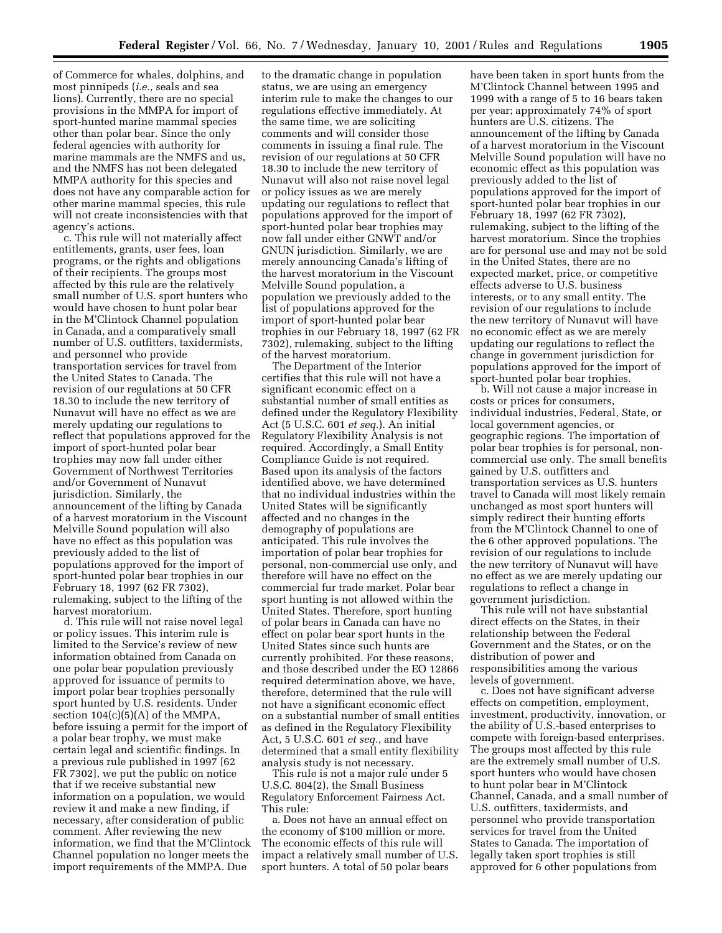of Commerce for whales, dolphins, and most pinnipeds (*i.e.,* seals and sea lions). Currently, there are no special provisions in the MMPA for import of sport-hunted marine mammal species other than polar bear. Since the only federal agencies with authority for marine mammals are the NMFS and us, and the NMFS has not been delegated MMPA authority for this species and does not have any comparable action for other marine mammal species, this rule will not create inconsistencies with that agency's actions.

c. This rule will not materially affect entitlements, grants, user fees, loan programs, or the rights and obligations of their recipients. The groups most affected by this rule are the relatively small number of U.S. sport hunters who would have chosen to hunt polar bear in the M'Clintock Channel population in Canada, and a comparatively small number of U.S. outfitters, taxidermists, and personnel who provide transportation services for travel from the United States to Canada. The revision of our regulations at 50 CFR 18.30 to include the new territory of Nunavut will have no effect as we are merely updating our regulations to reflect that populations approved for the import of sport-hunted polar bear trophies may now fall under either Government of Northwest Territories and/or Government of Nunavut jurisdiction. Similarly, the announcement of the lifting by Canada of a harvest moratorium in the Viscount Melville Sound population will also have no effect as this population was previously added to the list of populations approved for the import of sport-hunted polar bear trophies in our February 18, 1997 (62 FR 7302), rulemaking, subject to the lifting of the harvest moratorium.

d. This rule will not raise novel legal or policy issues. This interim rule is limited to the Service's review of new information obtained from Canada on one polar bear population previously approved for issuance of permits to import polar bear trophies personally sport hunted by U.S. residents. Under section  $104(c)(5)(A)$  of the MMPA, before issuing a permit for the import of a polar bear trophy, we must make certain legal and scientific findings. In a previous rule published in 1997 [62 FR 7302], we put the public on notice that if we receive substantial new information on a population, we would review it and make a new finding, if necessary, after consideration of public comment. After reviewing the new information, we find that the M'Clintock Channel population no longer meets the import requirements of the MMPA. Due

to the dramatic change in population status, we are using an emergency interim rule to make the changes to our regulations effective immediately. At the same time, we are soliciting comments and will consider those comments in issuing a final rule. The revision of our regulations at 50 CFR 18.30 to include the new territory of Nunavut will also not raise novel legal or policy issues as we are merely updating our regulations to reflect that populations approved for the import of sport-hunted polar bear trophies may now fall under either GNWT and/or GNUN jurisdiction. Similarly, we are merely announcing Canada's lifting of the harvest moratorium in the Viscount Melville Sound population, a population we previously added to the list of populations approved for the import of sport-hunted polar bear trophies in our February 18, 1997 (62 FR 7302), rulemaking, subject to the lifting of the harvest moratorium.

The Department of the Interior certifies that this rule will not have a significant economic effect on a substantial number of small entities as defined under the Regulatory Flexibility Act (5 U.S.C. 601 *et seq.*). An initial Regulatory Flexibility Analysis is not required. Accordingly, a Small Entity Compliance Guide is not required. Based upon its analysis of the factors identified above, we have determined that no individual industries within the United States will be significantly affected and no changes in the demography of populations are anticipated. This rule involves the importation of polar bear trophies for personal, non-commercial use only, and therefore will have no effect on the commercial fur trade market. Polar bear sport hunting is not allowed within the United States. Therefore, sport hunting of polar bears in Canada can have no effect on polar bear sport hunts in the United States since such hunts are currently prohibited. For these reasons, and those described under the EO 12866 required determination above, we have, therefore, determined that the rule will not have a significant economic effect on a substantial number of small entities as defined in the Regulatory Flexibility Act, 5 U.S.C. 601 *et seq.*, and have determined that a small entity flexibility analysis study is not necessary.

This rule is not a major rule under 5 U.S.C. 804(2), the Small Business Regulatory Enforcement Fairness Act. This rule:

a. Does not have an annual effect on the economy of \$100 million or more. The economic effects of this rule will impact a relatively small number of U.S. sport hunters. A total of 50 polar bears

have been taken in sport hunts from the M'Clintock Channel between 1995 and 1999 with a range of 5 to 16 bears taken per year; approximately 74% of sport hunters are U.S. citizens. The announcement of the lifting by Canada of a harvest moratorium in the Viscount Melville Sound population will have no economic effect as this population was previously added to the list of populations approved for the import of sport-hunted polar bear trophies in our February 18, 1997 (62 FR 7302), rulemaking, subject to the lifting of the harvest moratorium. Since the trophies are for personal use and may not be sold in the United States, there are no expected market, price, or competitive effects adverse to U.S. business interests, or to any small entity. The revision of our regulations to include the new territory of Nunavut will have no economic effect as we are merely updating our regulations to reflect the change in government jurisdiction for populations approved for the import of sport-hunted polar bear trophies.

b. Will not cause a major increase in costs or prices for consumers, individual industries, Federal, State, or local government agencies, or geographic regions. The importation of polar bear trophies is for personal, noncommercial use only. The small benefits gained by U.S. outfitters and transportation services as U.S. hunters travel to Canada will most likely remain unchanged as most sport hunters will simply redirect their hunting efforts from the M'Clintock Channel to one of the 6 other approved populations. The revision of our regulations to include the new territory of Nunavut will have no effect as we are merely updating our regulations to reflect a change in government jurisdiction.

This rule will not have substantial direct effects on the States, in their relationship between the Federal Government and the States, or on the distribution of power and responsibilities among the various levels of government.

c. Does not have significant adverse effects on competition, employment, investment, productivity, innovation, or the ability of U.S.-based enterprises to compete with foreign-based enterprises. The groups most affected by this rule are the extremely small number of U.S. sport hunters who would have chosen to hunt polar bear in M'Clintock Channel, Canada, and a small number of U.S. outfitters, taxidermists, and personnel who provide transportation services for travel from the United States to Canada. The importation of legally taken sport trophies is still approved for 6 other populations from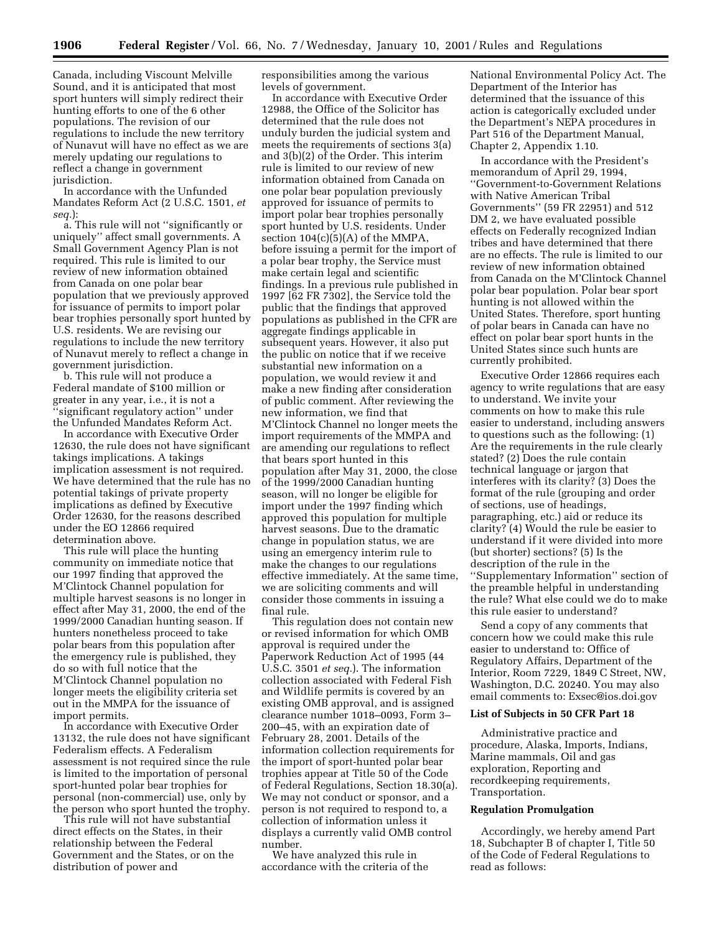Canada, including Viscount Melville Sound, and it is anticipated that most sport hunters will simply redirect their hunting efforts to one of the 6 other populations. The revision of our regulations to include the new territory of Nunavut will have no effect as we are merely updating our regulations to reflect a change in government jurisdiction.

In accordance with the Unfunded Mandates Reform Act (2 U.S.C. 1501, *et seq.*):

a. This rule will not ''significantly or uniquely'' affect small governments. A Small Government Agency Plan is not required. This rule is limited to our review of new information obtained from Canada on one polar bear population that we previously approved for issuance of permits to import polar bear trophies personally sport hunted by U.S. residents. We are revising our regulations to include the new territory of Nunavut merely to reflect a change in government jurisdiction.

b. This rule will not produce a Federal mandate of \$100 million or greater in any year, i.e., it is not a ''significant regulatory action'' under the Unfunded Mandates Reform Act.

In accordance with Executive Order 12630, the rule does not have significant takings implications. A takings implication assessment is not required. We have determined that the rule has no potential takings of private property implications as defined by Executive Order 12630, for the reasons described under the EO 12866 required determination above.

This rule will place the hunting community on immediate notice that our 1997 finding that approved the M'Clintock Channel population for multiple harvest seasons is no longer in effect after May 31, 2000, the end of the 1999/2000 Canadian hunting season. If hunters nonetheless proceed to take polar bears from this population after the emergency rule is published, they do so with full notice that the M'Clintock Channel population no longer meets the eligibility criteria set out in the MMPA for the issuance of import permits.

In accordance with Executive Order 13132, the rule does not have significant Federalism effects. A Federalism assessment is not required since the rule is limited to the importation of personal sport-hunted polar bear trophies for personal (non-commercial) use, only by the person who sport hunted the trophy.

This rule will not have substantial direct effects on the States, in their relationship between the Federal Government and the States, or on the distribution of power and

responsibilities among the various levels of government.

In accordance with Executive Order 12988, the Office of the Solicitor has determined that the rule does not unduly burden the judicial system and meets the requirements of sections 3(a) and 3(b)(2) of the Order. This interim rule is limited to our review of new information obtained from Canada on one polar bear population previously approved for issuance of permits to import polar bear trophies personally sport hunted by U.S. residents. Under section  $104(c)(5)(A)$  of the MMPA, before issuing a permit for the import of a polar bear trophy, the Service must make certain legal and scientific findings. In a previous rule published in 1997 [62 FR 7302], the Service told the public that the findings that approved populations as published in the CFR are aggregate findings applicable in subsequent years. However, it also put the public on notice that if we receive substantial new information on a population, we would review it and make a new finding after consideration of public comment. After reviewing the new information, we find that M'Clintock Channel no longer meets the import requirements of the MMPA and are amending our regulations to reflect that bears sport hunted in this population after May 31, 2000, the close of the 1999/2000 Canadian hunting season, will no longer be eligible for import under the 1997 finding which approved this population for multiple harvest seasons. Due to the dramatic change in population status, we are using an emergency interim rule to make the changes to our regulations effective immediately. At the same time, we are soliciting comments and will consider those comments in issuing a final rule.

This regulation does not contain new or revised information for which OMB approval is required under the Paperwork Reduction Act of 1995 (44 U.S.C. 3501 *et seq.*). The information collection associated with Federal Fish and Wildlife permits is covered by an existing OMB approval, and is assigned clearance number 1018–0093, Form 3– 200–45, with an expiration date of February 28, 2001. Details of the information collection requirements for the import of sport-hunted polar bear trophies appear at Title 50 of the Code of Federal Regulations, Section 18.30(a). We may not conduct or sponsor, and a person is not required to respond to, a collection of information unless it displays a currently valid OMB control number.

We have analyzed this rule in accordance with the criteria of the National Environmental Policy Act. The Department of the Interior has determined that the issuance of this action is categorically excluded under the Department's NEPA procedures in Part 516 of the Department Manual, Chapter 2, Appendix 1.10.

In accordance with the President's memorandum of April 29, 1994, ''Government-to-Government Relations with Native American Tribal Governments'' (59 FR 22951) and 512 DM 2, we have evaluated possible effects on Federally recognized Indian tribes and have determined that there are no effects. The rule is limited to our review of new information obtained from Canada on the M'Clintock Channel polar bear population. Polar bear sport hunting is not allowed within the United States. Therefore, sport hunting of polar bears in Canada can have no effect on polar bear sport hunts in the United States since such hunts are currently prohibited.

Executive Order 12866 requires each agency to write regulations that are easy to understand. We invite your comments on how to make this rule easier to understand, including answers to questions such as the following: (1) Are the requirements in the rule clearly stated? (2) Does the rule contain technical language or jargon that interferes with its clarity? (3) Does the format of the rule (grouping and order of sections, use of headings, paragraphing, etc.) aid or reduce its clarity? (4) Would the rule be easier to understand if it were divided into more (but shorter) sections? (5) Is the description of the rule in the ''Supplementary Information'' section of the preamble helpful in understanding the rule? What else could we do to make this rule easier to understand?

Send a copy of any comments that concern how we could make this rule easier to understand to: Office of Regulatory Affairs, Department of the Interior, Room 7229, 1849 C Street, NW, Washington, D.C. 20240. You may also email comments to: Exsec@ios.doi.gov

#### **List of Subjects in 50 CFR Part 18**

Administrative practice and procedure, Alaska, Imports, Indians, Marine mammals, Oil and gas exploration, Reporting and recordkeeping requirements, Transportation.

#### **Regulation Promulgation**

Accordingly, we hereby amend Part 18, Subchapter B of chapter I, Title 50 of the Code of Federal Regulations to read as follows: